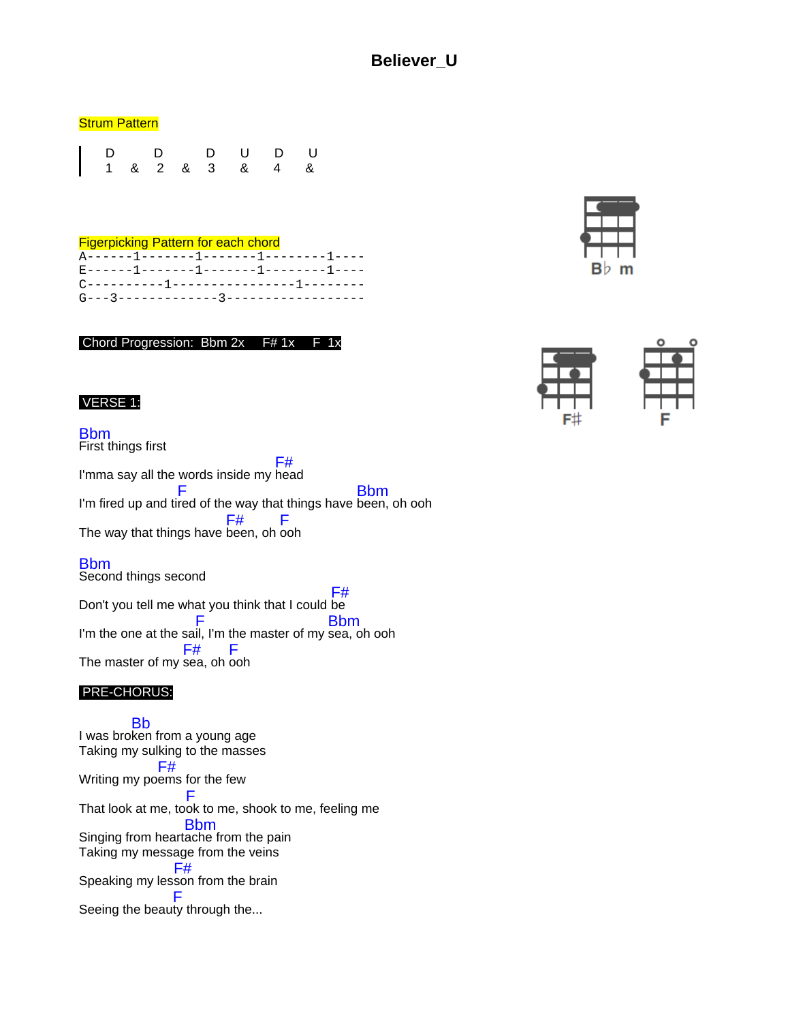# **Believer\_U**

#### **Strum Pattern**

|  |  |  | D D D U D U<br>  1 & 2 & 3 & 4 & |  |
|--|--|--|----------------------------------|--|
|  |  |  |                                  |  |

### Figerpicking Pattern for each chord

|  | A------1-------1-------1---------1----  |  |
|--|-----------------------------------------|--|
|  | E-------1-------1-------1---------1---- |  |
|  | C----------1----------------1--------   |  |
|  |                                         |  |
|  |                                         |  |

Chord Progression: Bbm 2x F# 1x

### VERSE 1:

### Bbm

First things first I'mma say all the words inside my head F# I'm fired up and ti F red of the way that things have Bbm been, oh ooh The way that things have been, oh ooh F# F

### Bbm

Second things second

Don't you tell me what you think that I could be F# I'm the one at the sa F il, I'm the master of my sea, oh ooh Bbm The master of my sea, oh ooh F# F

### PRE-CHORUS:

I was bro Bb ken from a young age Taking my sulking to the masses Writing my po ems for the few F# That look at me, took to me, shook to me, feeling me F Singing from heart Bbm ache from the pain Taking my message from the veins Speaking my les F# son from the brain Seeing the beauty through the... F



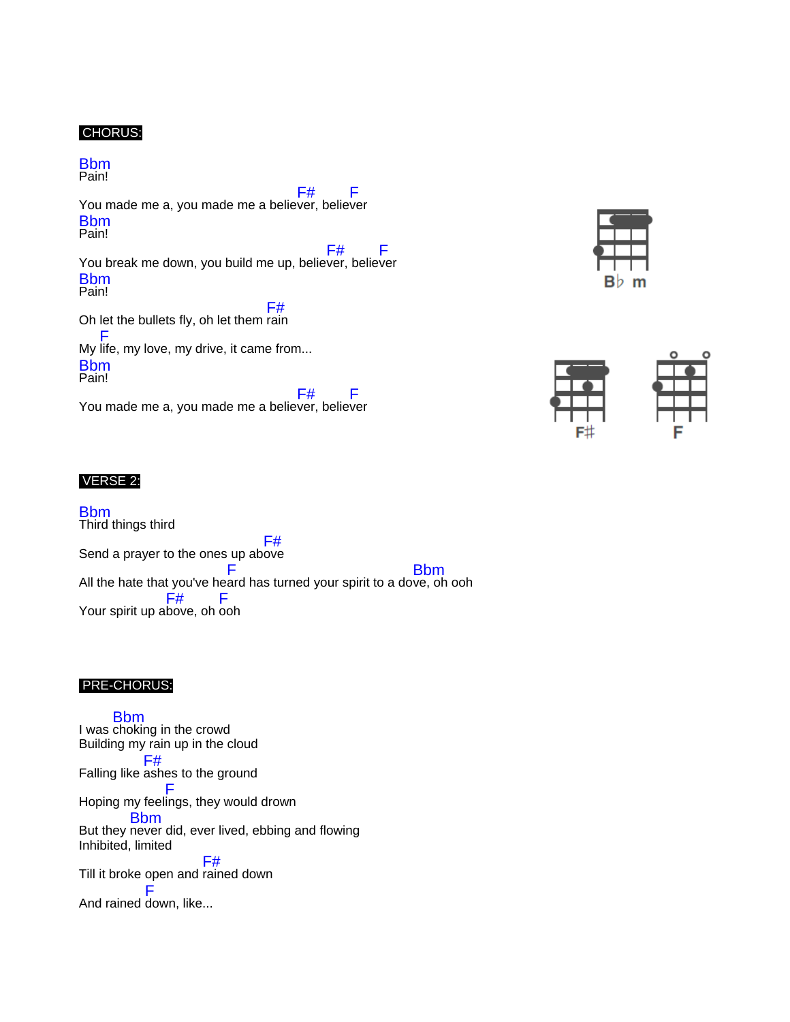## CHORUS:

Bbm Pain!

You made me a, you made me a believer, believer F# F Bbm Pain!

You break me down, you build me up, believer, believer F# F Bbm Pain!

Oh let the bullets fly, oh let them rain F# My life, my love, my drive, it came from... F Bbm Pain!

You made me a, you made me a believer, believer F# F

### VERSE 2:

Bbm Third things third Send a prayer to the ones up ab ove F# All the hate that you've he ard has turned your spirit to a do ve, oh ooh F Bbm Your spirit up above, oh ooh F# F

#### PRE-CHORUS:

I was choking in the crowd Bbm Building my rain up in the cloud Falling like ashes to the ground F# Hoping my feel ings, they would drown F But they never did, ever lived, ebbing and flowing Bbm Inhibited, limited Till it broke open and rained down F# And rained down, like...F